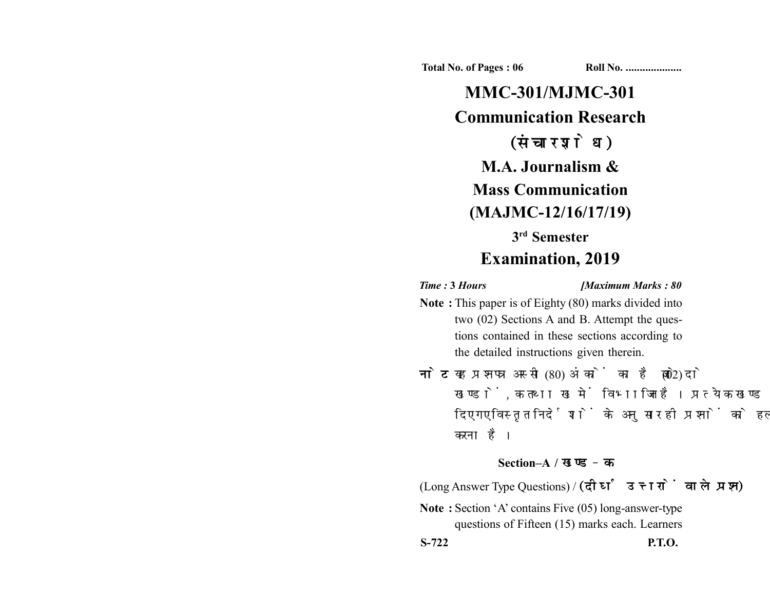**Total No. of Pages : 06 Roll No. ...................** 

**MMC-301/MJMC-301 Communication Research** (संचार शोध) **M.A. Journalism & Mass Communication (MAJMC-12/16/17/19) 3rd Semester Examination, 2019**

*Time :* **3** *Hours [Maximum Marks : 80*

- **Note :** This paper is of Eighty (80) marks divided into two (02) Sections A and B. Attempt the questions contained in these sections according to the detailed instructions given therein.
- नोट: यह प्रश्नपत्र अस्सी (80) अंकों का है जो दो (02) खण्डों, क तथा ख में विभाजित है। प्रत्येक खण्ड में दिए गए विस्तृत निर्देशों के अनुसार ही प्रश्नों को हल करना है।

## **Section–A /**

(Long Answer Type Questions) /

**Note :** Section 'A' contains Five (05) long-answer-type questions of Fifteen (15) marks each. Learners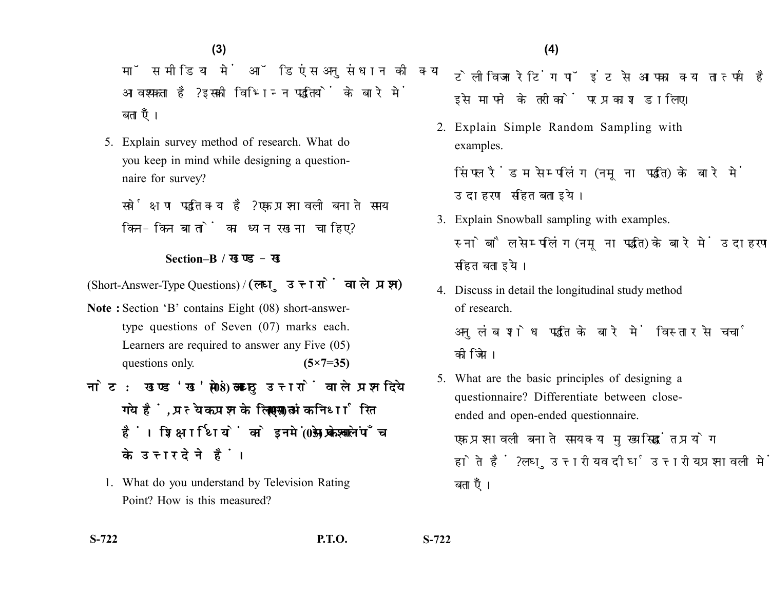मॉस मीडिया में ऑडिएंस अनसंधान की क्या आवश्यकता है? इसकी विभिन्न पद्धतियों के बारे में बताएँ।

5. Explain survey method of research. What do you keep in mind while designing a questionnaire for survey?

सर्वेक्षण पद्धति क्या है? एक प्रश्नावली बनाते समय किन-किन बातों का ध्यान रखना चाहिए?

## **Section–B /**

(Short-Answer-Type Questions) /

- **Note :** Section 'B' contains Eight (08) short-answertype questions of Seven (07) marks each. Learners are required to answer any Five (05) questions only. **(5×7=35)**
- नोट: खण्ड'ख' में आठ (08) लघु उत्तरों वाले प्रश्न दिये गये हैं. प्रत्येक प्रश्न के लिए सात (07) अंक निर्धारित हैं। शिक्षार्थियों को इनमें से केवल पाँच (05) प्रश्नों के उत्तर देने हैं।
	- 1. What do you understand by Television Rating Point? How is this measured?

टेलीविजन रेटिंग पॉइंट से आपका क्या तात्पर्य है? इसे मापने के तरीकों पर प्रकाश डालिए।

2. Explain Simple Random Sampling with examples.

सिंपल रैंडम सेम्पलिंग (नमूना पद्धति) के बारे में उदाहरण सहित बताइये।

- 3. Explain Snowball sampling with examples. स्नोबौल सेम्पलिंग (नमना पद्धति) के बारे में उदाहरण सहित बताइये।
- 4. Discuss in detail the longitudinal study method of research. अनलंब शोध पद्धति के बारे में विस्तार से चर्चा कोजिये।
- 5. What are the basic principles of designing a questionnaire? Differentiate between closeended and open-ended questionnaire.

एक प्रश्नावली बनाते समय क्या मुख्य सिद्धांत प्रयोग होते हैं ? लघुउत्तरीय व दीर्घउत्तरीय प्रश्नावली में अन्तर बताएँ।

**S-722 P.T.O. S-722**